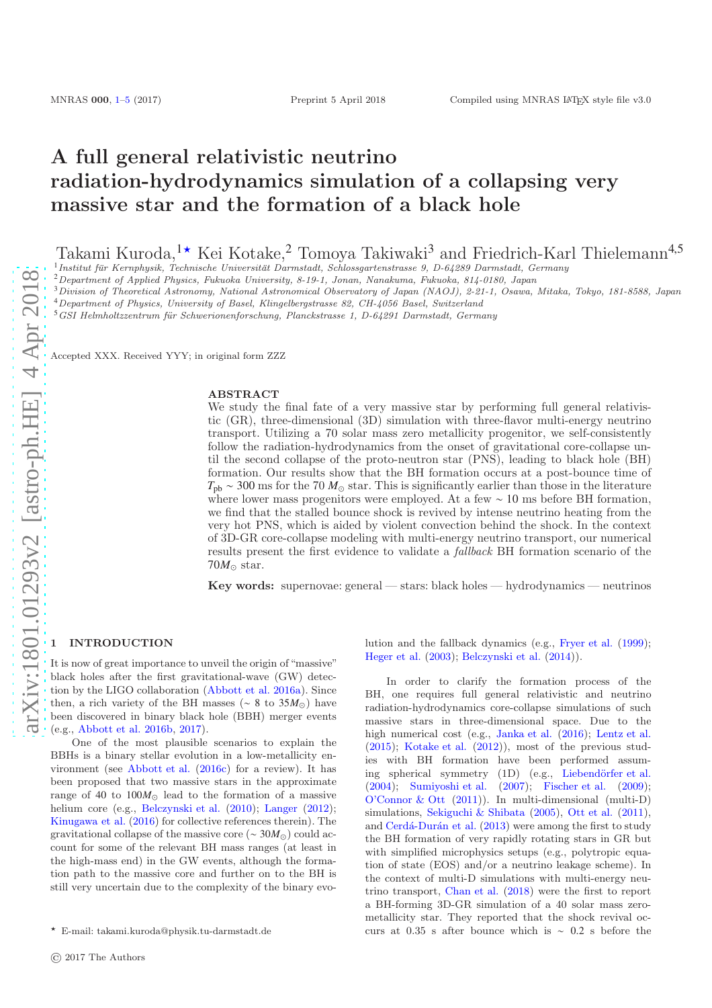# A full general relativistic neutrino radiation-hydrodynamics simulation of a collapsing very massive star and the formation of a black hole

Takami Kuroda,<sup>1</sup><sup>★</sup> Kei Kotake,<sup>2</sup> Tomoya Takiwaki<sup>3</sup> and Friedrich-Karl Thielemann<sup>4,5</sup><br><sup>1</sup>Institut für Kernphysik, Technische Universität Darmstadt, Schlossgartenstrasse 9, D-64289 Darmstadt, Germany

<sup>2</sup>Department of Applied Physics, Fukuoka University, 8-19-1, Jonan, Nanakuma, Fukuoka, 814-0180, Japan

<sup>3</sup>Division of Theoretical Astronomy, National Astronomical Observatory of Japan (NAOJ), 2-21-1, Osawa, Mitaka, Tokyo, 181-8588, Japan

<sup>4</sup>Department of Physics, University of Basel, Klingelbergstrasse 82, CH-4056 Basel, Switzerland

 $5$ GSI Helmholtzzentrum für Schwerionenforschung, Planckstrasse 1, D-64291 Darmstadt, Germany

Accepted XXX. Received YYY; in original form ZZZ

## ABSTRACT

We study the final fate of a very massive star by performing full general relativistic (GR), three-dimensional (3D) simulation with three-flavor multi-energy neutrino transport. Utilizing a 70 solar mass zero metallicity progenitor, we self-consistently follow the radiation-hydrodynamics from the onset of gravitational core-collapse until the second collapse of the proto-neutron star (PNS), leading to black hole (BH) formation. Our results show that the BH formation occurs at a post-bounce time of  $T_{\text{pb}} \sim 300$  ms for the 70  $M_{\odot}$  star. This is significantly earlier than those in the literature where lower mass progenitors were employed. At a few ∼ 10 ms before BH formation, we find that the stalled bounce shock is revived by intense neutrino heating from the very hot PNS, which is aided by violent convection behind the shock. In the context of 3D-GR core-collapse modeling with multi-energy neutrino transport, our numerical results present the first evidence to validate a fallback BH formation scenario of the 70*M*<sup>⊙</sup> star.

Key words: supernovae: general — stars: black holes — hydrodynamics — neutrinos

#### <span id="page-0-0"></span>**INTRODUCTION**

It is now of great importance to unveil the origin of "massive" black holes after the first gravitational-wave (GW) detection by the LIGO collaboration [\(Abbott et al. 2016a](#page-4-0)). Since then, a rich variety of the BH masses ( $\sim 8$  to 35 $M_{\odot}$ ) have been discovered in binary black hole (BBH) merger events (e.g., [Abbott et al. 2016b](#page-4-1), [2017](#page-4-2)).

One of the most plausible scenarios to explain the BBHs is a binary stellar evolution in a low-metallicity environment (see [Abbott et al.](#page-4-3) [\(2016c](#page-4-3)) for a review). It has been proposed that two massive stars in the approximate range of 40 to  $100M_{\odot}$  lead to the formation of a massive helium core (e.g., [Belczynski et al.](#page-4-4) [\(2010](#page-4-4)); [Langer](#page-4-5) [\(2012](#page-4-5)); [Kinugawa et al.](#page-4-6) [\(2016](#page-4-6)) for collective references therein). The gravitational collapse of the massive core (∼ 30*M*⊙) could account for some of the relevant BH mass ranges (at least in the high-mass end) in the GW events, although the formation path to the massive core and further on to the BH is still very uncertain due to the complexity of the binary evolution and the fallback dynamics (e.g., [Fryer et al.](#page-4-7) [\(1999](#page-4-7)); [Heger et al.](#page-4-8) [\(2003](#page-4-8)); [Belczynski et al.](#page-4-9) [\(2014](#page-4-9))).

In order to clarify the formation process of the BH, one requires full general relativistic and neutrino radiation-hydrodynamics core-collapse simulations of such massive stars in three-dimensional space. Due to the high numerical cost (e.g., [Janka et al.](#page-4-10) [\(2016\)](#page-4-10); [Lentz et al.](#page-4-11) [\(2015](#page-4-11)); [Kotake et al.](#page-4-12) [\(2012\)](#page-4-12)), most of the previous studies with BH formation have been performed assuming spherical symmetry (1D) (e.g., Liebendörfer et al. [\(2004](#page-4-13)); [Sumiyoshi et al.](#page-4-14) [\(2007](#page-4-14)); [Fischer et al.](#page-4-15) [\(2009](#page-4-15)); [O'Connor & Ott](#page-4-16) [\(2011](#page-4-16))). In multi-dimensional (multi-D) simulations, [Sekiguchi & Shibata](#page-4-17) [\(2005](#page-4-17)), [Ott et al.](#page-4-18) [\(2011](#page-4-18)), and Cerdá-Durán et al. [\(2013\)](#page-4-19) were among the first to study the BH formation of very rapidly rotating stars in GR but with simplified microphysics setups (e.g., polytropic equation of state (EOS) and/or a neutrino leakage scheme). In the context of multi-D simulations with multi-energy neutrino transport, [Chan et al.](#page-4-20) [\(2018](#page-4-20)) were the first to report a BH-forming 3D-GR simulation of a 40 solar mass zerometallicity star. They reported that the shock revival occurs at 0.35 s after bounce which is ∼ 0.2 s before the

<sup>⋆</sup> E-mail: takami.kuroda@physik.tu-darmstadt.de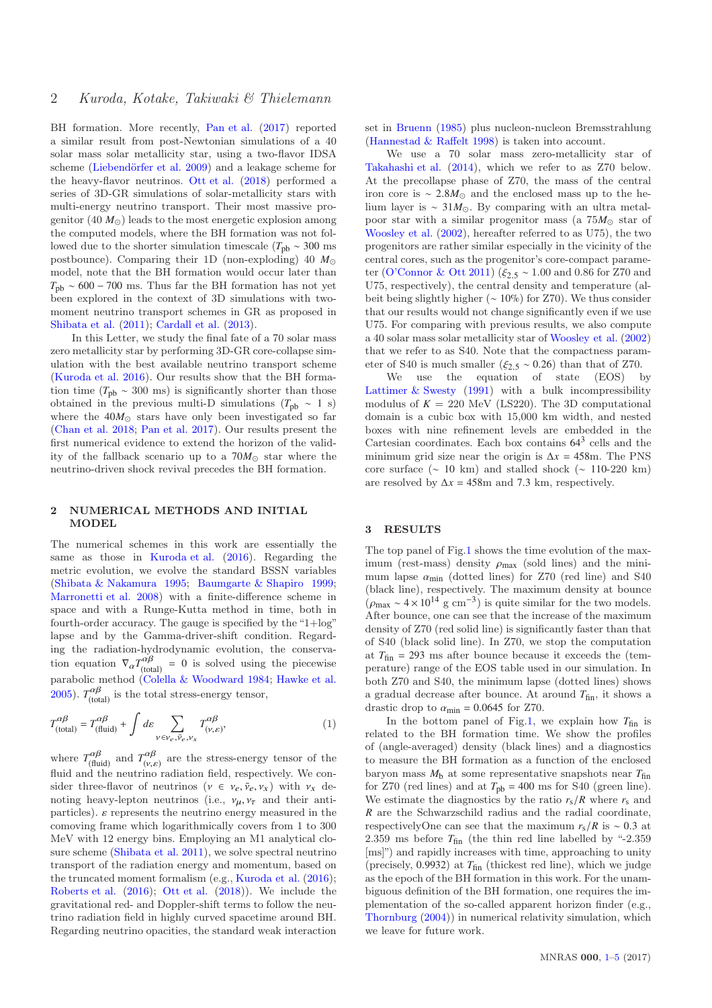BH formation. More recently, [Pan et al.](#page-4-21) [\(2017](#page-4-21)) reported a similar result from post-Newtonian simulations of a 40 solar mass solar metallicity star, using a two-flavor IDSA scheme (Liebendörfer et al. 2009) and a leakage scheme for the heavy-flavor neutrinos. [Ott et al.](#page-4-23) [\(2018](#page-4-23)) performed a series of 3D-GR simulations of solar-metallicity stars with multi-energy neutrino transport. Their most massive progenitor  $(40 M_{\odot})$  leads to the most energetic explosion among the computed models, where the BH formation was not followed due to the shorter simulation timescale ( $T_{\text{pb}} \sim 300 \text{ ms}$ ) postbounce). Comparing their 1D (non-exploding) 40 *M*<sup>⊙</sup> model, note that the BH formation would occur later than  $T_{\text{pb}} \sim 600 - 700$  ms. Thus far the BH formation has not yet been explored in the context of 3D simulations with twomoment neutrino transport schemes in GR as proposed in [Shibata et al.](#page-4-24) [\(2011](#page-4-24)); [Cardall et al.](#page-4-25) [\(2013\)](#page-4-25).

In this Letter, we study the final fate of a 70 solar mass zero metallicity star by performing 3D-GR core-collapse simulation with the best available neutrino transport scheme [\(Kuroda et al. 2016](#page-4-26)). Our results show that the BH formation time ( $T_{\text{pb}} \sim 300 \text{ ms}$ ) is significantly shorter than those obtained in the previous multi-D simulations  $(T_{pb} \sim 1 \text{ s})$ where the  $40M_{\odot}$  stars have only been investigated so far [\(Chan et al. 2018](#page-4-20); [Pan et al. 2017\)](#page-4-21). Our results present the first numerical evidence to extend the horizon of the validity of the fallback scenario up to a  $70M_{\odot}$  star where the neutrino-driven shock revival precedes the BH formation.

#### 2 NUMERICAL METHODS AND INITIAL **MODEL**

The numerical schemes in this work are essentially the same as those in [Kuroda et al.](#page-4-26) [\(2016\)](#page-4-26). Regarding the metric evolution, we evolve the standard BSSN variables [\(Shibata & Nakamura 1995;](#page-4-27) [Baumgarte & Shapiro 1999;](#page-4-28) [Marronetti et al. 2008\)](#page-4-29) with a finite-difference scheme in space and with a Runge-Kutta method in time, both in fourth-order accuracy. The gauge is specified by the "1+log" lapse and by the Gamma-driver-shift condition. Regarding the radiation-hydrodynamic evolution, the conservation equation  $\nabla_{\alpha} T^{\alpha\beta}_{\text{(tot)}}$  $\alpha \infty$  (total) = 0 is solved using the piecewise parabolic method [\(Colella & Woodward 1984](#page-4-30); [Hawke et al.](#page-4-31) [2005](#page-4-31)).  $T_{\text{(tot)}}^{\alpha\beta}$  $\mu_{\text{total}}^{up}$  is the total stress-energy tensor,

$$
T_{\text{(total)}}^{\alpha\beta} = T_{\text{(fluid)}}^{\alpha\beta} + \int d\varepsilon \sum_{\nu \in \nu_e, \bar{\nu}_e, \nu_x} T_{(\nu, \varepsilon)}^{\alpha\beta},\tag{1}
$$

where  $T_{\text{(flu)}}^{\alpha\beta}$  $\alpha \beta$  and  $T^{\alpha\beta}_{(\nu,\ell)}$  $\alpha_{(\nu,\varepsilon)}^{(\nu,\varepsilon)}$  are the stress-energy tensor of the fluid and the neutrino radiation field, respectively. We consider three-flavor of neutrinos  $(\nu \in \nu_e, \bar{\nu}_e, \nu_x)$  with  $\nu_x$  denoting heavy-lepton neutrinos (i.e.,  $v_{\mu}, v_{\tau}$  and their antiparticles).  $\varepsilon$  represents the neutrino energy measured in the comoving frame which logarithmically covers from 1 to 300 MeV with 12 energy bins. Employing an M1 analytical closure scheme [\(Shibata et al. 2011](#page-4-24)), we solve spectral neutrino transport of the radiation energy and momentum, based on the truncated moment formalism (e.g., [Kuroda et al.](#page-4-26) [\(2016](#page-4-26)); [Roberts et al.](#page-4-32) [\(2016](#page-4-32)); [Ott et al.](#page-4-23) [\(2018](#page-4-23))). We include the gravitational red- and Doppler-shift terms to follow the neutrino radiation field in highly curved spacetime around BH. Regarding neutrino opacities, the standard weak interaction set in [Bruenn](#page-4-33) [\(1985](#page-4-33)) plus nucleon-nucleon Bremsstrahlung [\(Hannestad & Raffelt 1998](#page-4-34)) is taken into account.

We use a 70 solar mass zero-metallicity star of [Takahashi et al.](#page-4-35) [\(2014\)](#page-4-35), which we refer to as Z70 below. At the precollapse phase of Z70, the mass of the central iron core is ~ 2.8 $M_{\odot}$  and the enclosed mass up to the helium layer is ∼ 31*M*⊙. By comparing with an ultra metalpoor star with a similar progenitor mass (a  $75M_{\odot}$  star of [Woosley et al.](#page-4-36) [\(2002\)](#page-4-36), hereafter referred to as U75), the two progenitors are rather similar especially in the vicinity of the central cores, such as the progenitor's core-compact parameter [\(O'Connor & Ott 2011](#page-4-16)) (ξ2.<sup>5</sup> ∼ 1.00 and 0.86 for Z70 and U75, respectively), the central density and temperature (albeit being slightly higher ( $\sim 10\%$ ) for Z70). We thus consider that our results would not change significantly even if we use U75. For comparing with previous results, we also compute a 40 solar mass solar metallicity star of [Woosley et al.](#page-4-36) [\(2002](#page-4-36)) that we refer to as S40. Note that the compactness parameter of S40 is much smaller ( $\xi_{2.5} \sim 0.26$ ) than that of Z70.

We use the equation of state (EOS) by Lattimer  $&$  Swesty [\(1991](#page-4-37)) with a bulk incompressibility modulus of  $K = 220$  MeV (LS220). The 3D computational domain is a cubic box with 15,000 km width, and nested boxes with nine refinement levels are embedded in the Cartesian coordinates. Each box contains  $64<sup>3</sup>$  cells and the minimum grid size near the origin is  $\Delta x = 458$ m. The PNS core surface ( $\sim 10$  km) and stalled shock ( $\sim 110$ -220 km) are resolved by  $\Delta x = 458$ m and 7.3 km, respectively.

### 3 RESULTS

The top panel of Fig[.1](#page-2-0) shows the time evolution of the maximum (rest-mass) density  $\rho_{\text{max}}$  (sold lines) and the minimum lapse  $\alpha_{\text{min}}$  (dotted lines) for Z70 (red line) and S40 (black line), respectively. The maximum density at bounce  $(\rho_{\text{max}} \sim 4 \times 10^{14} \text{ g cm}^{-3})$  is quite similar for the two models. After bounce, one can see that the increase of the maximum density of Z70 (red solid line) is significantly faster than that of S40 (black solid line). In Z70, we stop the computation at  $T_{fin}$  = 293 ms after bounce because it exceeds the (temperature) range of the EOS table used in our simulation. In both Z70 and S40, the minimum lapse (dotted lines) shows a gradual decrease after bounce. At around  $T_{fin}$ , it shows a drastic drop to  $\alpha_{\text{min}} = 0.0645$  for Z70.

In the bottom panel of Fig[.1,](#page-2-0) we explain how  $T_{fin}$  is related to the BH formation time. We show the profiles of (angle-averaged) density (black lines) and a diagnostics to measure the BH formation as a function of the enclosed baryon mass  $M<sub>b</sub>$  at some representative snapshots near  $T<sub>fin</sub>$ for Z70 (red lines) and at  $T_{\text{pb}} = 400 \text{ ms}$  for S40 (green line). We estimate the diagnostics by the ratio  $r_s/R$  where  $r_s$  and *R* are the Schwarzschild radius and the radial coordinate, respectivelyOne can see that the maximum  $r_s/R$  is ~ 0.3 at 2.359 ms before  $T_{fin}$  (the thin red line labelled by "-2.359" [ms]") and rapidly increases with time, approaching to unity (precisely,  $0.9932$ ) at  $T_{fin}$  (thickest red line), which we judge as the epoch of the BH formation in this work. For the unambiguous definition of the BH formation, one requires the implementation of the so-called apparent horizon finder (e.g., [Thornburg](#page-4-38) [\(2004\)](#page-4-38)) in numerical relativity simulation, which we leave for future work.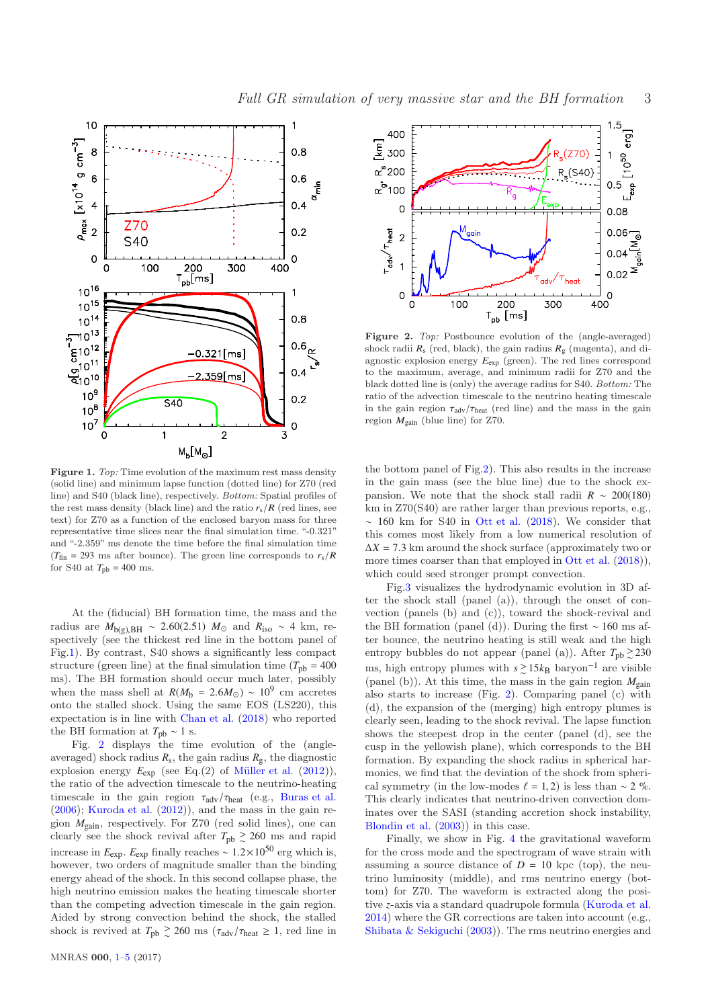<span id="page-2-0"></span>

Figure 1. Top: Time evolution of the maximum rest mass density (solid line) and minimum lapse function (dotted line) for Z70 (red line) and S40 (black line), respectively. Bottom: Spatial profiles of the rest mass density (black line) and the ratio  $r_s/R$  (red lines, see text) for Z70 as a function of the enclosed baryon mass for three representative time slices near the final simulation time. "-0.321" and "-2.359" ms denote the time before the final simulation time  $(T_{fin} = 293 \text{ ms after bounce})$ . The green line corresponds to  $r_s/R$ for S40 at  $T_{\text{pb}} = 400$  ms.

At the (fiducial) BH formation time, the mass and the radius are  $M_{b(g),\text{BH}} \sim 2.60(2.51) M_{\odot}$  and  $R_{\text{iso}} \sim 4 \text{ km}$ , respectively (see the thickest red line in the bottom panel of Fig[.1\)](#page-2-0). By contrast, S40 shows a significantly less compact structure (green line) at the final simulation time  $(T_{\text{ph}} = 400$ ms). The BH formation should occur much later, possibly when the mass shell at  $R(M_b = 2.6M_{\odot}) \sim 10^9$  cm accretes onto the stalled shock. Using the same EOS (LS220), this expectation is in line with [Chan et al.](#page-4-20) [\(2018\)](#page-4-20) who reported the BH formation at  $T_{\text{pb}} \sim 1$  s.

Fig. [2](#page-2-1) displays the time evolution of the (angleaveraged) shock radius  $R_s$ , the gain radius  $R_g$ , the diagnostic explosion energy  $E_{\text{exp}}$  (see Eq.(2) of Müller et al. [\(2012](#page-4-39))), the ratio of the advection timescale to the neutrino-heating timescale in the gain region  $\tau_{\text{adv}}/\tau_{\text{heat}}$  (e.g., [Buras et al.](#page-4-40)  $(2006)$  $(2006)$ ; [Kuroda et al.](#page-4-41)  $(2012)$ ), and the mass in the gain region *M*gain, respectively. For Z70 (red solid lines), one can clearly see the shock revival after  $T_{\text{pb}} \geq 260$  ms and rapid increase in *E*exp. *E*exp finally reaches ∼ 1.2×10<sup>50</sup> erg which is, however, two orders of magnitude smaller than the binding energy ahead of the shock. In this second collapse phase, the high neutrino emission makes the heating timescale shorter than the competing advection timescale in the gain region. Aided by strong convection behind the shock, the stalled shock is revived at  $T_{\text{pb}} \ge 260 \text{ ms } (\tau_{\text{adv}}/\tau_{\text{heat}} \ge 1, \text{ red line in})$ 

<span id="page-2-1"></span>

Figure 2. Top: Postbounce evolution of the (angle-averaged) shock radii  $R_s$  (red, black), the gain radius  $R_g$  (magenta), and diagnostic explosion energy  $E_{\text{exp}}$  (green). The red lines correspond to the maximum, average, and minimum radii for Z70 and the black dotted line is (only) the average radius for S40. Bottom: The ratio of the advection timescale to the neutrino heating timescale in the gain region  $\tau_{\text{adv}}/\tau_{\text{heat}}$  (red line) and the mass in the gain region  $M_{\text{gain}}$  (blue line) for Z70.

the bottom panel of Fig[.2\)](#page-2-1). This also results in the increase in the gain mass (see the blue line) due to the shock expansion. We note that the shock stall radii  $R \sim 200(180)$ km in Z70(S40) are rather larger than previous reports, e.g.,  $~\sim$  160 km for S40 in [Ott et al.](#page-4-23) [\(2018\)](#page-4-23). We consider that this comes most likely from a low numerical resolution of  $\Delta X = 7.3$  km around the shock surface (approximately two or more times coarser than that employed in [Ott et al.](#page-4-23)  $(2018)$  $(2018)$ ), which could seed stronger prompt convection.

Fig[.3](#page-3-1) visualizes the hydrodynamic evolution in 3D after the shock stall (panel (a)), through the onset of convection (panels (b) and (c)), toward the shock-revival and the BH formation (panel (d)). During the first ∼ 160 ms after bounce, the neutrino heating is still weak and the high entropy bubbles do not appear (panel (a)). After  $T_{\text{pb}} \geq 230$ ms, high entropy plumes with  $s \ge 15k_B$  baryon<sup>-1</sup> are visible (panel (b)). At this time, the mass in the gain region  $M_{\text{gain}}$ also starts to increase (Fig. [2\)](#page-2-1). Comparing panel (c) with (d), the expansion of the (merging) high entropy plumes is clearly seen, leading to the shock revival. The lapse function shows the steepest drop in the center (panel (d), see the cusp in the yellowish plane), which corresponds to the BH formation. By expanding the shock radius in spherical harmonics, we find that the deviation of the shock from spherical symmetry (in the low-modes  $\ell = 1, 2$ ) is less than ~ 2 %. This clearly indicates that neutrino-driven convection dominates over the SASI (standing accretion shock instability, [Blondin et al.](#page-4-42) [\(2003](#page-4-42))) in this case.

Finally, we show in Fig. [4](#page-3-2) the gravitational waveform for the cross mode and the spectrogram of wave strain with assuming a source distance of  $D = 10$  kpc (top), the neutrino luminosity (middle), and rms neutrino energy (bottom) for Z70. The waveform is extracted along the positive *z*-axis via a standard quadrupole formula [\(Kuroda et al.](#page-4-43) [2014](#page-4-43)) where the GR corrections are taken into account (e.g., [Shibata & Sekiguchi](#page-4-44) [\(2003](#page-4-44))). The rms neutrino energies and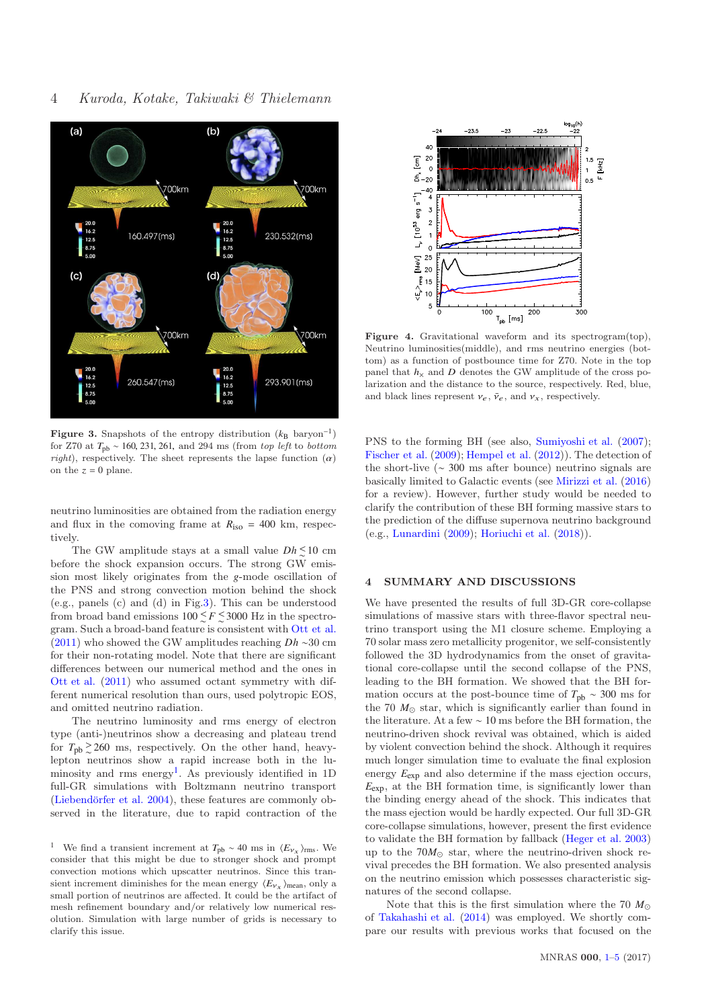<span id="page-3-1"></span>

Figure 3. Snapshots of the entropy distribution  $(k_B \text{ baryon}^{-1})$ for Z70 at  $T_{\text{pb}} \sim 160, 231, 261, \text{ and } 294 \text{ ms (from top left to bottom)}$ right), respectively. The sheet represents the lapse function  $(\alpha)$ on the  $z = 0$  plane.

neutrino luminosities are obtained from the radiation energy and flux in the comoving frame at  $R_{\rm iso} = 400$  km, respectively.

The GW amplitude stays at a small value  $Dh \leq 10$  cm before the shock expansion occurs. The strong GW emission most likely originates from the g-mode oscillation of the PNS and strong convection motion behind the shock (e.g., panels (c) and (d) in Fig[.3\)](#page-3-1). This can be understood from broad band emissions  $100 \le F \le 3000$  Hz in the spectrogram. Such a broad-band feature is consistent with [Ott et al.](#page-4-18) [\(2011](#page-4-18)) who showed the GW amplitudes reaching *Dh* ∼30 cm for their non-rotating model. Note that there are significant differences between our numerical method and the ones in [Ott et al.](#page-4-18) [\(2011\)](#page-4-18) who assumed octant symmetry with different numerical resolution than ours, used polytropic EOS, and omitted neutrino radiation.

The neutrino luminosity and rms energy of electron type (anti-)neutrinos show a decreasing and plateau trend for  $T_{\text{pb}} \ge 260$  ms, respectively. On the other hand, heavylepton neutrinos show a rapid increase both in the lu-minosity and rms energy<sup>[1](#page-3-3)</sup>. As previously identified in 1D full-GR simulations with Boltzmann neutrino transport (Liebendörfer et al.  $2004$ ), these features are commonly observed in the literature, due to rapid contraction of the

<span id="page-3-2"></span>

Figure 4. Gravitational waveform and its spectrogram(top), Neutrino luminosities(middle), and rms neutrino energies (bottom) as a function of postbounce time for Z70. Note in the top panel that  $h_x$  and D denotes the GW amplitude of the cross polarization and the distance to the source, respectively. Red, blue, and black lines represent  $v_e$ ,  $\bar{v}_e$ , and  $v_x$ , respectively.

PNS to the forming BH (see also, [Sumiyoshi et al.](#page-4-14) [\(2007](#page-4-14)); [Fischer et al.](#page-4-15) [\(2009](#page-4-15)); [Hempel et al.](#page-4-45) [\(2012](#page-4-45))). The detection of the short-live (∼ 300 ms after bounce) neutrino signals are basically limited to Galactic events (see [Mirizzi et al.](#page-4-46) [\(2016](#page-4-46)) for a review). However, further study would be needed to clarify the contribution of these BH forming massive stars to the prediction of the diffuse supernova neutrino background (e.g., [Lunardini](#page-4-47) [\(2009\)](#page-4-47); [Horiuchi et al.](#page-4-48) [\(2018\)](#page-4-48)).

# <span id="page-3-0"></span>4 SUMMARY AND DISCUSSIONS

We have presented the results of full 3D-GR core-collapse simulations of massive stars with three-flavor spectral neutrino transport using the M1 closure scheme. Employing a 70 solar mass zero metallicity progenitor, we self-consistently followed the 3D hydrodynamics from the onset of gravitational core-collapse until the second collapse of the PNS, leading to the BH formation. We showed that the BH formation occurs at the post-bounce time of  $T_{\text{pb}} \sim 300 \text{ ms}$  for the 70  $M_{\odot}$  star, which is significantly earlier than found in the literature. At a few ∼ 10 ms before the BH formation, the neutrino-driven shock revival was obtained, which is aided by violent convection behind the shock. Although it requires much longer simulation time to evaluate the final explosion energy  $E_{\text{exp}}$  and also determine if the mass ejection occurs, *E*exp, at the BH formation time, is significantly lower than the binding energy ahead of the shock. This indicates that the mass ejection would be hardly expected. Our full 3D-GR core-collapse simulations, however, present the first evidence to validate the BH formation by fallback [\(Heger et al. 2003](#page-4-8)) up to the  $70M_{\odot}$  star, where the neutrino-driven shock revival precedes the BH formation. We also presented analysis on the neutrino emission which possesses characteristic signatures of the second collapse.

Note that this is the first simulation where the 70  $M_{\odot}$ of [Takahashi et al.](#page-4-35) [\(2014](#page-4-35)) was employed. We shortly compare our results with previous works that focused on the

<span id="page-3-3"></span><sup>&</sup>lt;sup>1</sup> We find a transient increment at  $T_{\text{pb}} \sim 40$  ms in  $\langle E_{\nu_x} \rangle_{\text{rms}}$ . We consider that this might be due to stronger shock and prompt convection motions which upscatter neutrinos. Since this transient increment diminishes for the mean energy  $\langle E_{v_x} \rangle$ <sub>mean</sub>, only a small portion of neutrinos are affected. It could be the artifact of mesh refinement boundary and/or relatively low numerical resolution. Simulation with large number of grids is necessary to clarify this issue.